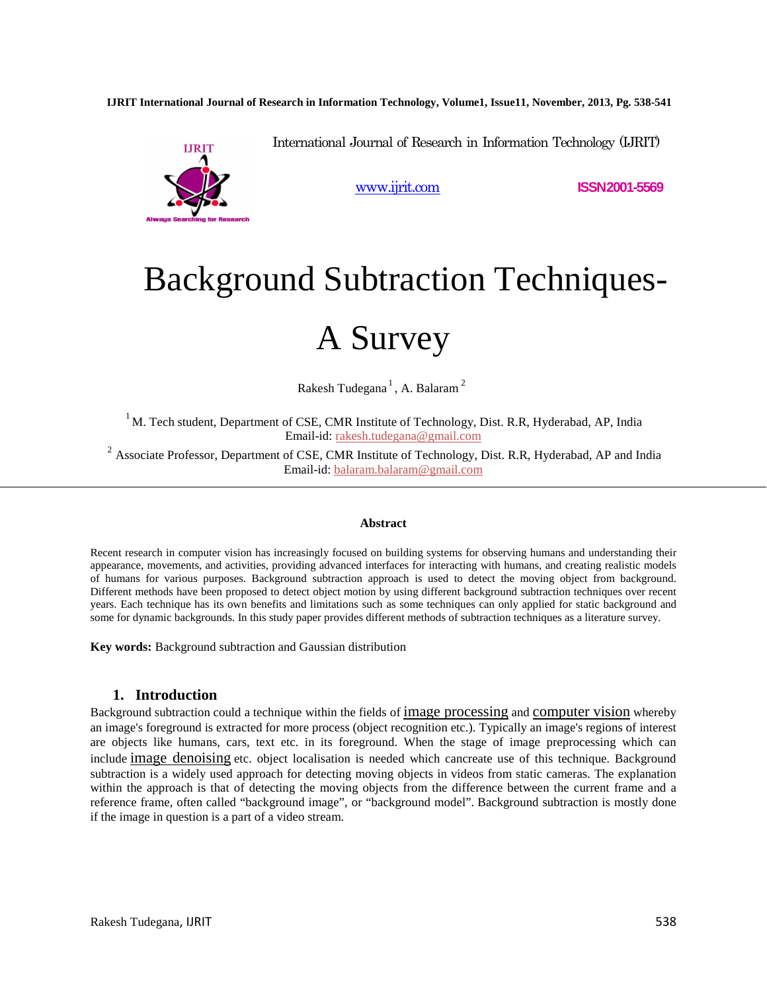**IJRIT International Journal of Research in Information Technology, Volume1, Issue11, November, 2013, Pg. 538-541**



International Journal of Research in Information Technology (IJRIT)

www.ijrit.com **ISSN2001-5569**

# Background Subtraction Techniques-

## A Survey

Rakesh Tudegana $^1$ , A. Balaram $^2$ 

 $1$ M. Tech student, Department of CSE, CMR Institute of Technology, Dist. R.R, Hyderabad, AP, India Email-id: rakesh.tudegana@gmail.com

<sup>2</sup> Associate Professor, Department of CSE, CMR Institute of Technology, Dist. R.R, Hyderabad, AP and India Email-id: balaram.balaram@gmail.com

#### **Abstract**

Recent research in computer vision has increasingly focused on building systems for observing humans and understanding their appearance, movements, and activities, providing advanced interfaces for interacting with humans, and creating realistic models of humans for various purposes. Background subtraction approach is used to detect the moving object from background. Different methods have been proposed to detect object motion by using different background subtraction techniques over recent years. Each technique has its own benefits and limitations such as some techniques can only applied for static background and some for dynamic backgrounds. In this study paper provides different methods of subtraction techniques as a literature survey.

**Key words:** Background subtraction and Gaussian distribution

#### **1. Introduction**

Background subtraction could a technique within the fields of image processing and computer vision whereby an image's foreground is extracted for more process (object recognition etc.). Typically an image's regions of interest are objects like humans, cars, text etc. in its foreground. When the stage of image preprocessing which can include image denoising etc. object localisation is needed which cancreate use of this technique. Background subtraction is a widely used approach for detecting moving objects in videos from static cameras. The explanation within the approach is that of detecting the moving objects from the difference between the current frame and a reference frame, often called "background image", or "background model". Background subtraction is mostly done if the image in question is a part of a video stream.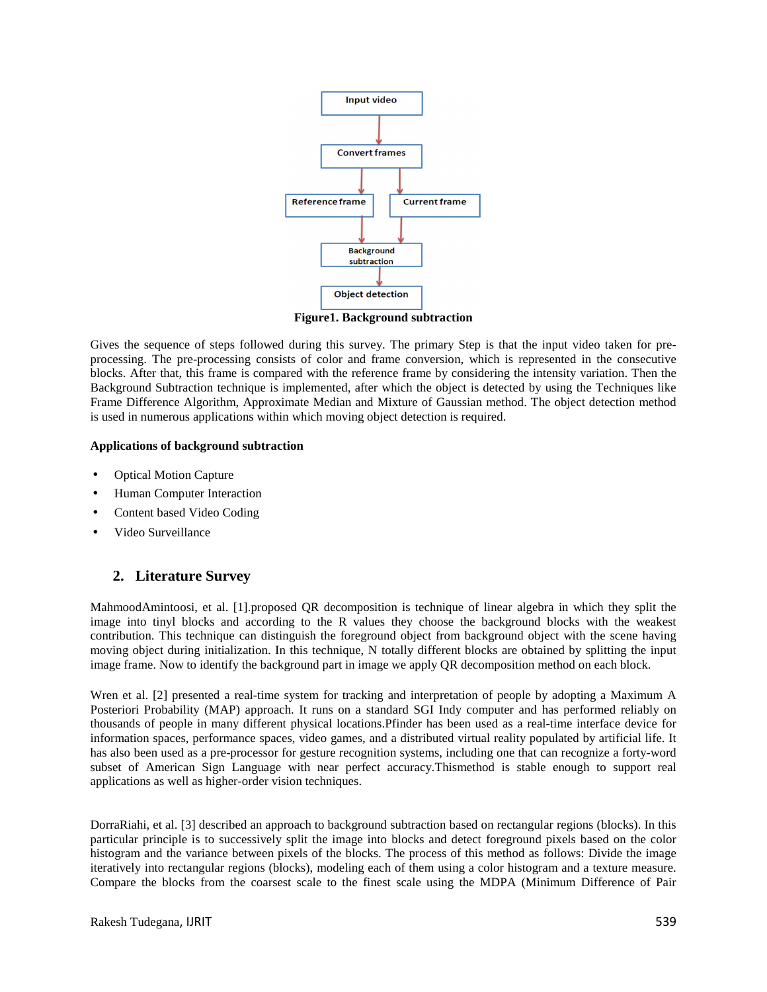

**Figure1. Background subtraction** 

Gives the sequence of steps followed during this survey. The primary Step is that the input video taken for preprocessing. The pre-processing consists of color and frame conversion, which is represented in the consecutive blocks. After that, this frame is compared with the reference frame by considering the intensity variation. Then the Background Subtraction technique is implemented, after which the object is detected by using the Techniques like Frame Difference Algorithm, Approximate Median and Mixture of Gaussian method. The object detection method is used in numerous applications within which moving object detection is required.

#### **Applications of background subtraction**

- Optical Motion Capture
- Human Computer Interaction
- Content based Video Coding
- Video Surveillance

### **2. Literature Survey**

MahmoodAmintoosi, et al. [1].proposed QR decomposition is technique of linear algebra in which they split the image into tinyl blocks and according to the R values they choose the background blocks with the weakest contribution. This technique can distinguish the foreground object from background object with the scene having moving object during initialization. In this technique, N totally different blocks are obtained by splitting the input image frame. Now to identify the background part in image we apply QR decomposition method on each block.

Wren et al. [2] presented a real-time system for tracking and interpretation of people by adopting a Maximum A Posteriori Probability (MAP) approach. It runs on a standard SGI Indy computer and has performed reliably on thousands of people in many different physical locations.Pfinder has been used as a real-time interface device for information spaces, performance spaces, video games, and a distributed virtual reality populated by artificial life. It has also been used as a pre-processor for gesture recognition systems, including one that can recognize a forty-word subset of American Sign Language with near perfect accuracy.Thismethod is stable enough to support real applications as well as higher-order vision techniques.

DorraRiahi, et al. [3] described an approach to background subtraction based on rectangular regions (blocks). In this particular principle is to successively split the image into blocks and detect foreground pixels based on the color histogram and the variance between pixels of the blocks. The process of this method as follows: Divide the image iteratively into rectangular regions (blocks), modeling each of them using a color histogram and a texture measure. Compare the blocks from the coarsest scale to the finest scale using the MDPA (Minimum Difference of Pair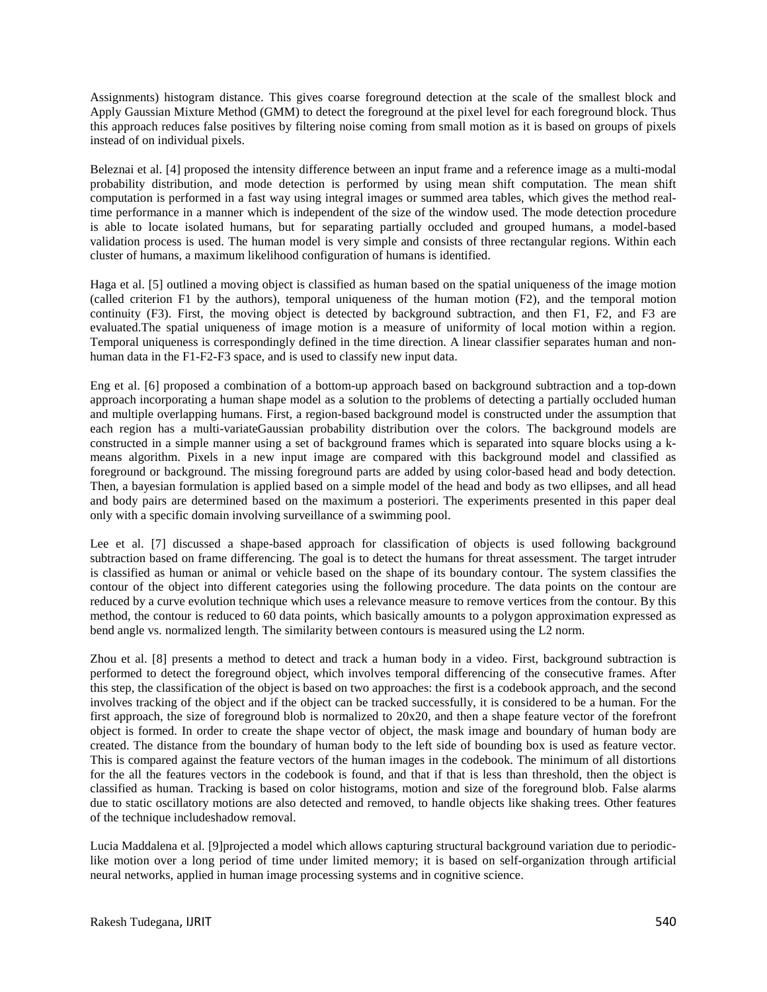Assignments) histogram distance. This gives coarse foreground detection at the scale of the smallest block and Apply Gaussian Mixture Method (GMM) to detect the foreground at the pixel level for each foreground block. Thus this approach reduces false positives by filtering noise coming from small motion as it is based on groups of pixels instead of on individual pixels.

Beleznai et al. [4] proposed the intensity difference between an input frame and a reference image as a multi-modal probability distribution, and mode detection is performed by using mean shift computation. The mean shift computation is performed in a fast way using integral images or summed area tables, which gives the method realtime performance in a manner which is independent of the size of the window used. The mode detection procedure is able to locate isolated humans, but for separating partially occluded and grouped humans, a model-based validation process is used. The human model is very simple and consists of three rectangular regions. Within each cluster of humans, a maximum likelihood configuration of humans is identified.

Haga et al. [5] outlined a moving object is classified as human based on the spatial uniqueness of the image motion (called criterion F1 by the authors), temporal uniqueness of the human motion (F2), and the temporal motion continuity (F3). First, the moving object is detected by background subtraction, and then F1, F2, and F3 are evaluated.The spatial uniqueness of image motion is a measure of uniformity of local motion within a region. Temporal uniqueness is correspondingly defined in the time direction. A linear classifier separates human and nonhuman data in the F1-F2-F3 space, and is used to classify new input data.

Eng et al. [6] proposed a combination of a bottom-up approach based on background subtraction and a top-down approach incorporating a human shape model as a solution to the problems of detecting a partially occluded human and multiple overlapping humans. First, a region-based background model is constructed under the assumption that each region has a multi-variateGaussian probability distribution over the colors. The background models are constructed in a simple manner using a set of background frames which is separated into square blocks using a kmeans algorithm. Pixels in a new input image are compared with this background model and classified as foreground or background. The missing foreground parts are added by using color-based head and body detection. Then, a bayesian formulation is applied based on a simple model of the head and body as two ellipses, and all head and body pairs are determined based on the maximum a posteriori. The experiments presented in this paper deal only with a specific domain involving surveillance of a swimming pool.

Lee et al. [7] discussed a shape-based approach for classification of objects is used following background subtraction based on frame differencing. The goal is to detect the humans for threat assessment. The target intruder is classified as human or animal or vehicle based on the shape of its boundary contour. The system classifies the contour of the object into different categories using the following procedure. The data points on the contour are reduced by a curve evolution technique which uses a relevance measure to remove vertices from the contour. By this method, the contour is reduced to 60 data points, which basically amounts to a polygon approximation expressed as bend angle vs. normalized length. The similarity between contours is measured using the L2 norm.

Zhou et al. [8] presents a method to detect and track a human body in a video. First, background subtraction is performed to detect the foreground object, which involves temporal differencing of the consecutive frames. After this step, the classification of the object is based on two approaches: the first is a codebook approach, and the second involves tracking of the object and if the object can be tracked successfully, it is considered to be a human. For the first approach, the size of foreground blob is normalized to 20x20, and then a shape feature vector of the forefront object is formed. In order to create the shape vector of object, the mask image and boundary of human body are created. The distance from the boundary of human body to the left side of bounding box is used as feature vector. This is compared against the feature vectors of the human images in the codebook. The minimum of all distortions for the all the features vectors in the codebook is found, and that if that is less than threshold, then the object is classified as human. Tracking is based on color histograms, motion and size of the foreground blob. False alarms due to static oscillatory motions are also detected and removed, to handle objects like shaking trees. Other features of the technique includeshadow removal.

Lucia Maddalena et al. [9]projected a model which allows capturing structural background variation due to periodiclike motion over a long period of time under limited memory; it is based on self-organization through artificial neural networks, applied in human image processing systems and in cognitive science.